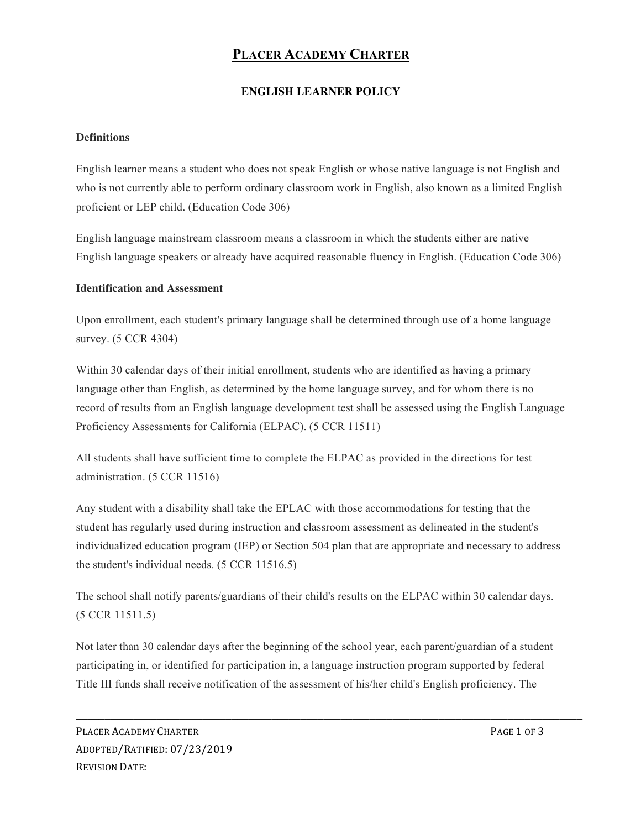# **PLACER ACADEMY CHARTER**

## **ENGLISH LEARNER POLICY**

#### **Definitions**

English learner means a student who does not speak English or whose native language is not English and who is not currently able to perform ordinary classroom work in English, also known as a limited English proficient or LEP child. (Education Code 306)

English language mainstream classroom means a classroom in which the students either are native English language speakers or already have acquired reasonable fluency in English. (Education Code 306)

#### **Identification and Assessment**

Upon enrollment, each student's primary language shall be determined through use of a home language survey. (5 CCR 4304)

Within 30 calendar days of their initial enrollment, students who are identified as having a primary language other than English, as determined by the home language survey, and for whom there is no record of results from an English language development test shall be assessed using the English Language Proficiency Assessments for California (ELPAC). (5 CCR 11511)

All students shall have sufficient time to complete the ELPAC as provided in the directions for test administration. (5 CCR 11516)

Any student with a disability shall take the EPLAC with those accommodations for testing that the student has regularly used during instruction and classroom assessment as delineated in the student's individualized education program (IEP) or Section 504 plan that are appropriate and necessary to address the student's individual needs. (5 CCR 11516.5)

The school shall notify parents/guardians of their child's results on the ELPAC within 30 calendar days. (5 CCR 11511.5)

Not later than 30 calendar days after the beginning of the school year, each parent/guardian of a student participating in, or identified for participation in, a language instruction program supported by federal Title III funds shall receive notification of the assessment of his/her child's English proficiency. The

**\_\_\_\_\_\_\_\_\_\_\_\_\_\_\_\_\_\_\_\_\_\_\_\_\_\_\_\_\_\_\_\_\_\_\_\_\_\_\_\_\_\_\_\_\_\_\_\_\_\_\_\_\_\_\_\_\_\_\_\_\_\_\_\_\_\_\_\_\_\_\_\_\_\_\_\_\_\_\_\_\_\_\_\_\_\_\_\_**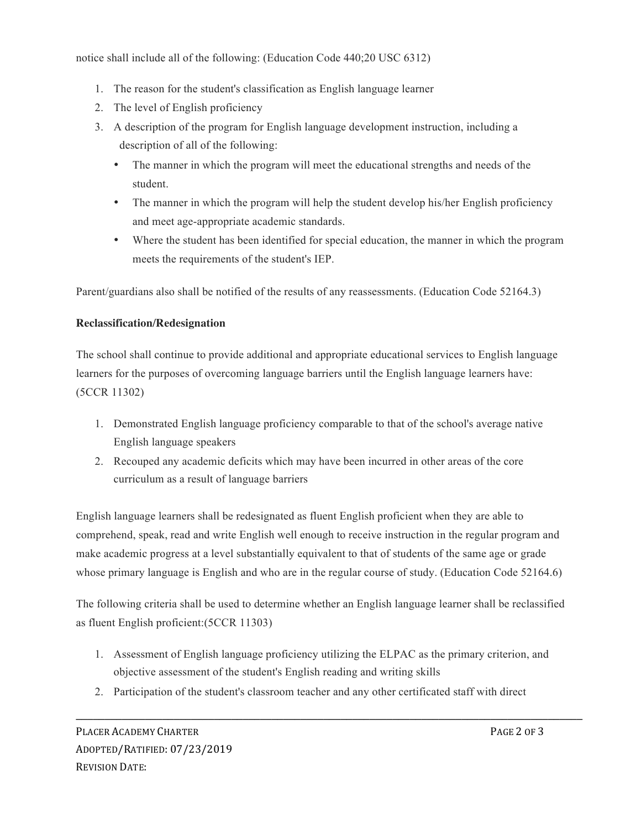notice shall include all of the following: (Education Code 440;20 USC 6312)

- 1. The reason for the student's classification as English language learner
- 2. The level of English proficiency
- 3. A description of the program for English language development instruction, including a description of all of the following:
	- The manner in which the program will meet the educational strengths and needs of the student.
	- The manner in which the program will help the student develop his/her English proficiency and meet age-appropriate academic standards.
	- Where the student has been identified for special education, the manner in which the program meets the requirements of the student's IEP.

Parent/guardians also shall be notified of the results of any reassessments. (Education Code 52164.3)

## **Reclassification/Redesignation**

The school shall continue to provide additional and appropriate educational services to English language learners for the purposes of overcoming language barriers until the English language learners have: (5CCR 11302)

- 1. Demonstrated English language proficiency comparable to that of the school's average native English language speakers
- 2. Recouped any academic deficits which may have been incurred in other areas of the core curriculum as a result of language barriers

English language learners shall be redesignated as fluent English proficient when they are able to comprehend, speak, read and write English well enough to receive instruction in the regular program and make academic progress at a level substantially equivalent to that of students of the same age or grade whose primary language is English and who are in the regular course of study. (Education Code 52164.6)

The following criteria shall be used to determine whether an English language learner shall be reclassified as fluent English proficient:(5CCR 11303)

1. Assessment of English language proficiency utilizing the ELPAC as the primary criterion, and objective assessment of the student's English reading and writing skills

**\_\_\_\_\_\_\_\_\_\_\_\_\_\_\_\_\_\_\_\_\_\_\_\_\_\_\_\_\_\_\_\_\_\_\_\_\_\_\_\_\_\_\_\_\_\_\_\_\_\_\_\_\_\_\_\_\_\_\_\_\_\_\_\_\_\_\_\_\_\_\_\_\_\_\_\_\_\_\_\_\_\_\_\_\_\_\_\_**

2. Participation of the student's classroom teacher and any other certificated staff with direct